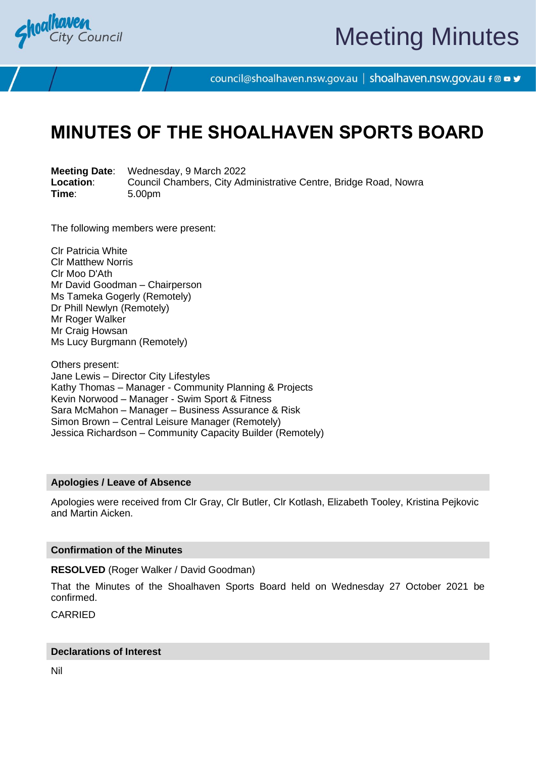

# Meeting Minutes

council@shoalhaven.nsw.gov.au | shoalhaven.nsw.gov.au f @ ■ y

# **MINUTES OF THE SHOALHAVEN SPORTS BOARD**

**Meeting Date**: Wednesday, 9 March 2022 **Location:** Council Chambers, City Administrative Centre, Bridge Road, Nowra<br>
Time: 5.00pm **Time**: 5.00pm

The following members were present:

Clr Patricia White Clr Matthew Norris Clr Moo D'Ath Mr David Goodman – Chairperson Ms Tameka Gogerly (Remotely) Dr Phill Newlyn (Remotely) Mr Roger Walker Mr Craig Howsan Ms Lucy Burgmann (Remotely)

Others present: Jane Lewis – Director City Lifestyles Kathy Thomas – Manager - Community Planning & Projects Kevin Norwood – Manager - Swim Sport & Fitness Sara McMahon – Manager – Business Assurance & Risk Simon Brown – Central Leisure Manager (Remotely) Jessica Richardson – Community Capacity Builder (Remotely)

#### **Apologies / Leave of Absence**

Apologies were received from Clr Gray, Clr Butler, Clr Kotlash, Elizabeth Tooley, Kristina Pejkovic and Martin Aicken.

#### **Confirmation of the Minutes**

**RESOLVED** (Roger Walker / David Goodman)

That the Minutes of the Shoalhaven Sports Board held on Wednesday 27 October 2021 be confirmed.

CARRIED

#### **Declarations of Interest**

Nil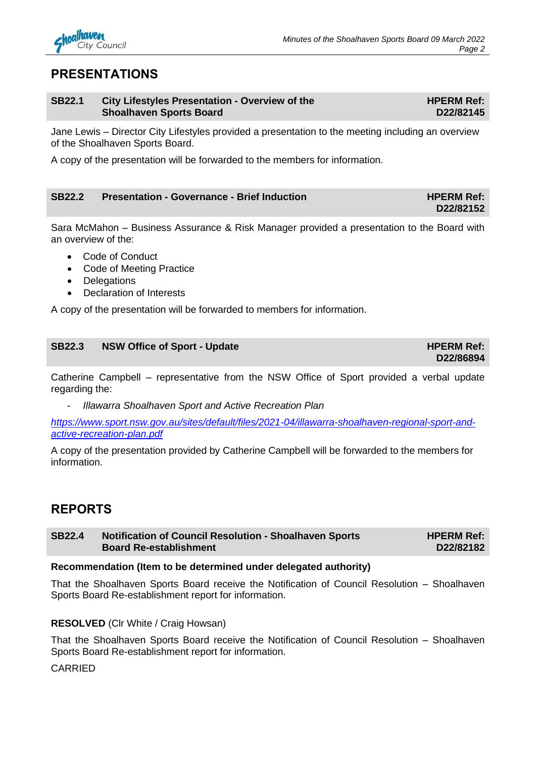

**HPERM Ref: D22/82145**

**D22/82152**

**D22/86894**

## **PRESENTATIONS**

#### **SB22.1 City Lifestyles Presentation - Overview of the Shoalhaven Sports Board**

Jane Lewis – Director City Lifestyles provided a presentation to the meeting including an overview of the Shoalhaven Sports Board.

A copy of the presentation will be forwarded to the members for information.

#### **SB22.2 Presentation - Governance - Brief Induction HPERM Ref: HPERM Ref:**

Sara McMahon – Business Assurance & Risk Manager provided a presentation to the Board with an overview of the:

- Code of Conduct
- Code of Meeting Practice
- Delegations
- Declaration of Interests

A copy of the presentation will be forwarded to members for information.

| <b>SB22.3</b> | NSW Office of Sport - Update | <b>HPERM Ref:</b> |
|---------------|------------------------------|-------------------|
|               |                              |                   |

Catherine Campbell – representative from the NSW Office of Sport provided a verbal update regarding the:

- *Illawarra Shoalhaven Sport and Active Recreation Plan* 

*[https://www.sport.nsw.gov.au/sites/default/files/2021-04/illawarra-shoalhaven-regional-sport-and](https://www.sport.nsw.gov.au/sites/default/files/2021-04/illawarra-shoalhaven-regional-sport-and-active-recreation-plan.pdf)[active-recreation-plan.pdf](https://www.sport.nsw.gov.au/sites/default/files/2021-04/illawarra-shoalhaven-regional-sport-and-active-recreation-plan.pdf)*

A copy of the presentation provided by Catherine Campbell will be forwarded to the members for information.

# **REPORTS**

**SB22.4 Notification of Council Resolution - Shoalhaven Sports Board Re-establishment HPERM Ref: D22/82182**

#### **Recommendation (Item to be determined under delegated authority)**

That the Shoalhaven Sports Board receive the Notification of Council Resolution – Shoalhaven Sports Board Re-establishment report for information.

#### **RESOLVED** (Clr White / Craig Howsan)

That the Shoalhaven Sports Board receive the Notification of Council Resolution – Shoalhaven Sports Board Re-establishment report for information.

CARRIED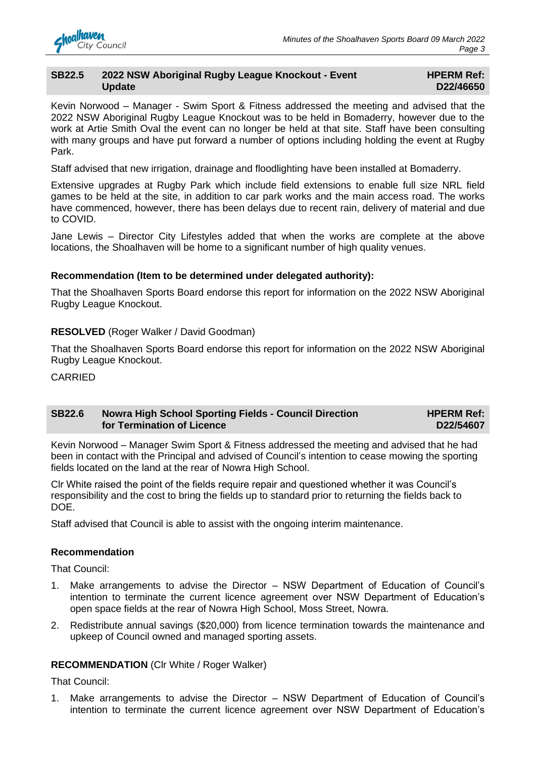#### **SB22.5 2022 NSW Aboriginal Rugby League Knockout - Event Update**

#### **HPERM Ref: D22/46650**

Kevin Norwood – Manager - Swim Sport & Fitness addressed the meeting and advised that the 2022 NSW Aboriginal Rugby League Knockout was to be held in Bomaderry, however due to the work at Artie Smith Oval the event can no longer be held at that site. Staff have been consulting with many groups and have put forward a number of options including holding the event at Rugby Park.

Staff advised that new irrigation, drainage and floodlighting have been installed at Bomaderry.

Extensive upgrades at Rugby Park which include field extensions to enable full size NRL field games to be held at the site, in addition to car park works and the main access road. The works have commenced, however, there has been delays due to recent rain, delivery of material and due to COVID.

Jane Lewis – Director City Lifestyles added that when the works are complete at the above locations, the Shoalhaven will be home to a significant number of high quality venues.

#### **Recommendation (Item to be determined under delegated authority):**

That the Shoalhaven Sports Board endorse this report for information on the 2022 NSW Aboriginal Rugby League Knockout.

#### **RESOLVED** (Roger Walker / David Goodman)

That the Shoalhaven Sports Board endorse this report for information on the 2022 NSW Aboriginal Rugby League Knockout.

**CARRIED** 

#### **SB22.6 Nowra High School Sporting Fields - Council Direction for Termination of Licence**

**HPERM Ref: D22/54607**

Kevin Norwood – Manager Swim Sport & Fitness addressed the meeting and advised that he had been in contact with the Principal and advised of Council's intention to cease mowing the sporting fields located on the land at the rear of Nowra High School.

Clr White raised the point of the fields require repair and questioned whether it was Council's responsibility and the cost to bring the fields up to standard prior to returning the fields back to DOE.

Staff advised that Council is able to assist with the ongoing interim maintenance.

#### **Recommendation**

That Council:

- 1. Make arrangements to advise the Director NSW Department of Education of Council's intention to terminate the current licence agreement over NSW Department of Education's open space fields at the rear of Nowra High School, Moss Street, Nowra.
- 2. Redistribute annual savings (\$20,000) from licence termination towards the maintenance and upkeep of Council owned and managed sporting assets.

#### **RECOMMENDATION** (Clr White / Roger Walker)

That Council:

1. Make arrangements to advise the Director – NSW Department of Education of Council's intention to terminate the current licence agreement over NSW Department of Education's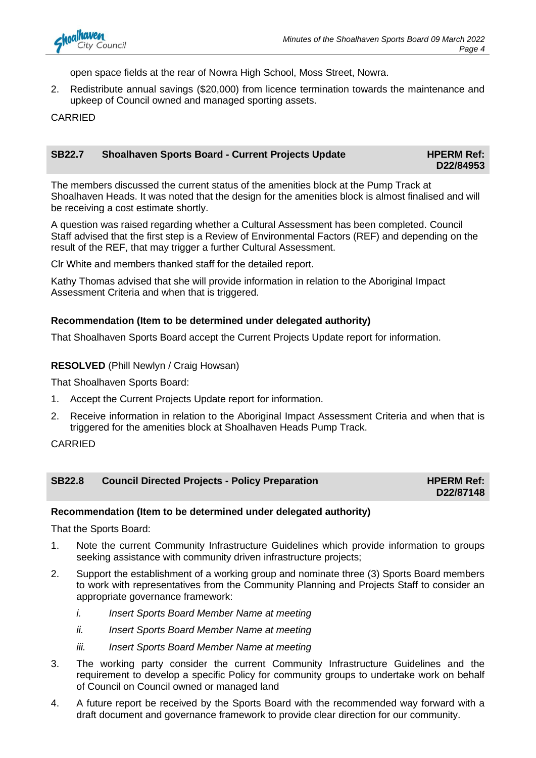

open space fields at the rear of Nowra High School, Moss Street, Nowra.

2. Redistribute annual savings (\$20,000) from licence termination towards the maintenance and upkeep of Council owned and managed sporting assets.

**CARRIED** 

| <b>SB22.7</b> | Shoalhaven Sports Board - Current Projects Update | <b>HPERM Ref:</b> |
|---------------|---------------------------------------------------|-------------------|
|               |                                                   | D22/84953         |

The members discussed the current status of the amenities block at the Pump Track at Shoalhaven Heads. It was noted that the design for the amenities block is almost finalised and will be receiving a cost estimate shortly.

A question was raised regarding whether a Cultural Assessment has been completed. Council Staff advised that the first step is a Review of Environmental Factors (REF) and depending on the result of the REF, that may trigger a further Cultural Assessment.

Clr White and members thanked staff for the detailed report.

Kathy Thomas advised that she will provide information in relation to the Aboriginal Impact Assessment Criteria and when that is triggered.

#### **Recommendation (Item to be determined under delegated authority)**

That Shoalhaven Sports Board accept the Current Projects Update report for information.

**RESOLVED** (Phill Newlyn / Craig Howsan)

That Shoalhaven Sports Board:

- 1. Accept the Current Projects Update report for information.
- 2. Receive information in relation to the Aboriginal Impact Assessment Criteria and when that is triggered for the amenities block at Shoalhaven Heads Pump Track.

CARRIED

#### **SB22.8 Council Directed Projects - Policy Preparation <b>HPERM Ref: HPERM Ref:**

**D22/87148**

#### **Recommendation (Item to be determined under delegated authority)**

That the Sports Board:

- 1. Note the current Community Infrastructure Guidelines which provide information to groups seeking assistance with community driven infrastructure projects:
- 2. Support the establishment of a working group and nominate three (3) Sports Board members to work with representatives from the Community Planning and Projects Staff to consider an appropriate governance framework:
	- *i. Insert Sports Board Member Name at meeting*
	- *ii. Insert Sports Board Member Name at meeting*
	- *iii. Insert Sports Board Member Name at meeting*
- 3. The working party consider the current Community Infrastructure Guidelines and the requirement to develop a specific Policy for community groups to undertake work on behalf of Council on Council owned or managed land
- 4. A future report be received by the Sports Board with the recommended way forward with a draft document and governance framework to provide clear direction for our community.